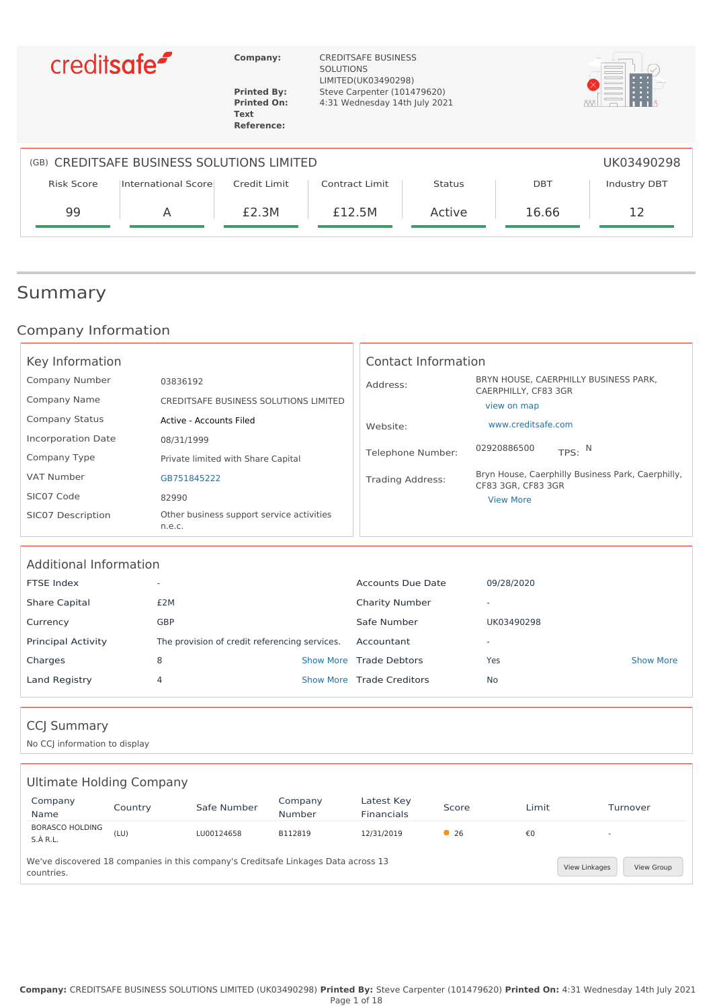

**Text Reference:**

**Company:** CREDITSAFE BUSINESS SOLUTIONS LIMITED(UK03490298) **Printed By:** Steve Carpenter (101479620) **Printed On:** 4:31 Wednesday 14th July 2021



| (GB) CREDITSAFE BUSINESS SOLUTIONS LIMITED<br>UK03490298 |                     |              |                |               |            |              |
|----------------------------------------------------------|---------------------|--------------|----------------|---------------|------------|--------------|
| <b>Risk Score</b>                                        | International Score | Credit Limit | Contract Limit | <b>Status</b> | <b>DBT</b> | Industry DBT |
| 99                                                       | A                   | £2.3M        | £12.5M         | Active        | 16.66      |              |

## Summary

### Company Information

| Key Information           |                                                     | Contact Information     |                                                                         |
|---------------------------|-----------------------------------------------------|-------------------------|-------------------------------------------------------------------------|
| Company Number            | 03836192                                            | Address:                | BRYN HOUSE, CAERPHILLY BUSINESS PARK,                                   |
| Company Name              | CREDITSAFE BUSINESS SOLUTIONS LIMITED               |                         | CAERPHILLY, CF83 3GR<br>view on map                                     |
| <b>Company Status</b>     | Active - Accounts Filed                             | Website:                | www.creditsafe.com                                                      |
| <b>Incorporation Date</b> | 08/31/1999                                          |                         | 02920886500                                                             |
| Company Type              | Private limited with Share Capital                  | Telephone Number:       | TPS: $N$                                                                |
| VAT Number                | GB751845222                                         | <b>Trading Address:</b> | Bryn House, Caerphilly Business Park, Caerphilly,<br>CF83 3GR, CF83 3GR |
| SIC07 Code                | 82990                                               |                         | <b>View More</b>                                                        |
| SIC07 Description         | Other business support service activities<br>n.e.c. |                         |                                                                         |

| Additional Information    |                                               |                           |                          |                  |
|---------------------------|-----------------------------------------------|---------------------------|--------------------------|------------------|
| FTSE Index                | -                                             | Accounts Due Date         | 09/28/2020               |                  |
| <b>Share Capital</b>      | £2M                                           | <b>Charity Number</b>     | $\overline{\phantom{a}}$ |                  |
| Currency                  | <b>GBP</b>                                    | Safe Number               | UK03490298               |                  |
| <b>Principal Activity</b> | The provision of credit referencing services. | Accountant                | $\overline{\phantom{a}}$ |                  |
| Charges                   | 8                                             | Show More Trade Debtors   | Yes                      | <b>Show More</b> |
| Land Registry             | 4                                             | Show More Trade Creditors | No                       |                  |
|                           |                                               |                           |                          |                  |

### CCJ Summary

No CCJ information to display

| Ultimate Holding Company                                                                                                        |         |             |                   |                          |       |       |                          |
|---------------------------------------------------------------------------------------------------------------------------------|---------|-------------|-------------------|--------------------------|-------|-------|--------------------------|
| Company<br>Name                                                                                                                 | Country | Safe Number | Company<br>Number | Latest Key<br>Financials | Score | Limit | Turnover                 |
| <b>BORASCO HOLDING</b><br>S.A R.L.                                                                                              | (LU)    | LU00124658  | B112819           | 12/31/2019               | • 26  | €0    | $\overline{\phantom{a}}$ |
| We've discovered 18 companies in this company's Creditsafe Linkages Data across 13<br>View Linkages<br>View Group<br>countries. |         |             |                   |                          |       |       |                          |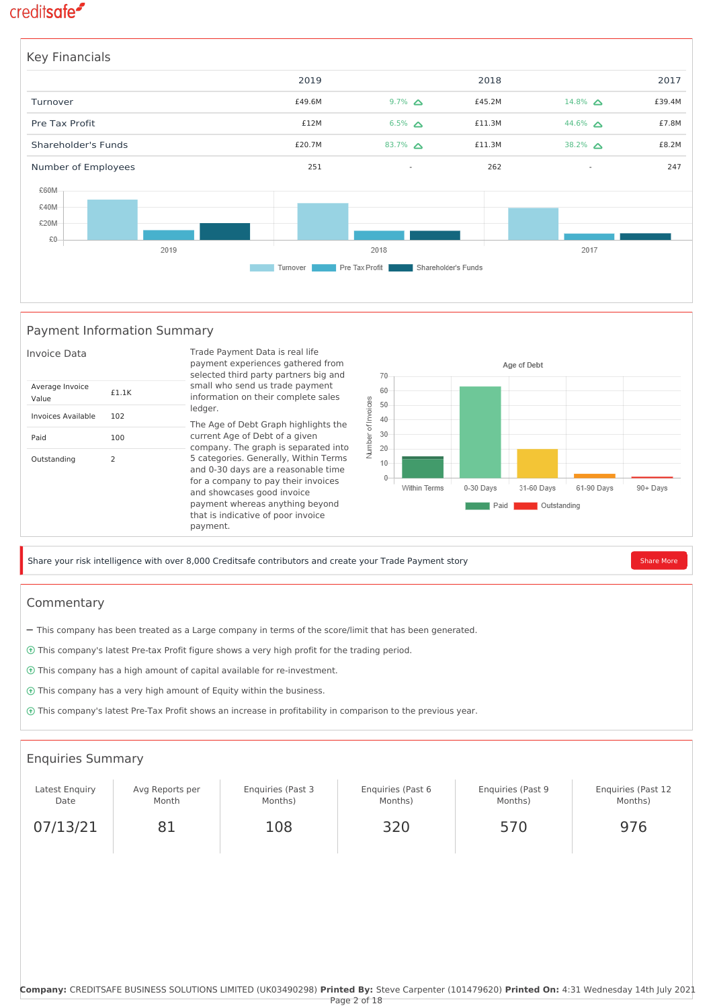

#### Payment Information Summary



Share your risk intelligence with over 8,000 Creditsafe contributors and create your Trade Payment story [Share More](https://app.creditsafe.com/companies/GB-0-03836192/paymentData)

#### Commentary

- This company has been treated as a Large company in terms of the score/limit that has been generated.
- This company's latest Pre-tax Profit figure shows a very high profit for the trading period.
- This company has a high amount of capital available for re-investment.
- This company has a very high amount of Equity within the business.
- This company's latest Pre-Tax Profit shows an increase in profitability in comparison to the previous year.

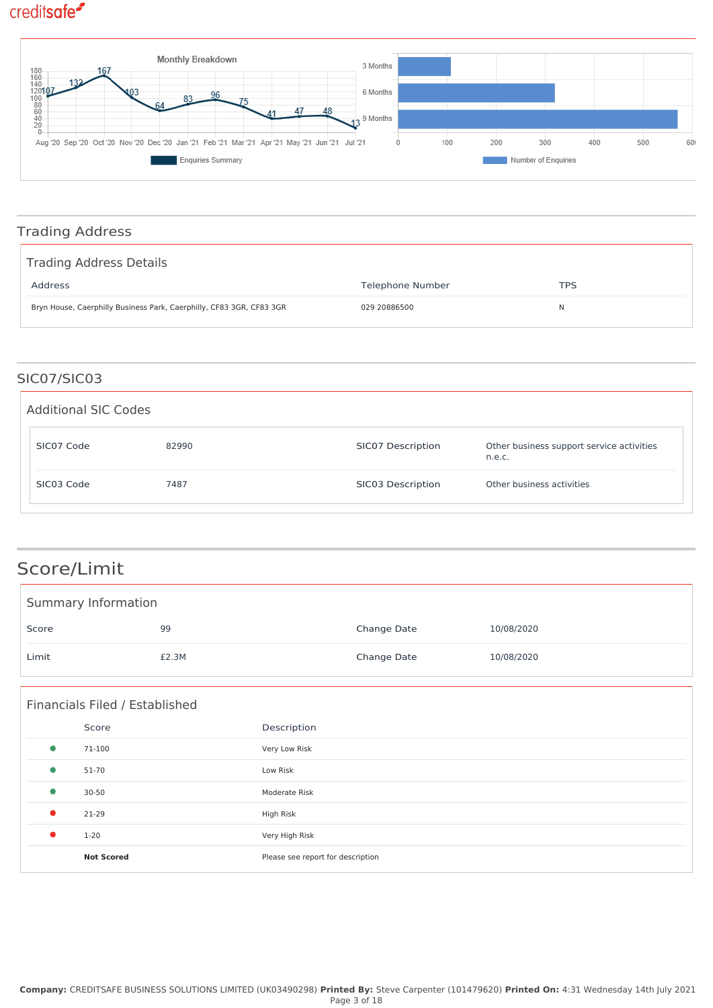

### Trading Address

| Trading Address Details                                              |                  |            |
|----------------------------------------------------------------------|------------------|------------|
| Address                                                              | Telephone Number | <b>TPS</b> |
| Bryn House, Caerphilly Business Park, Caerphilly, CF83 3GR, CF83 3GR | 029 20886500     | N          |

### SIC07/SIC03

| <b>Additional SIC Codes</b> |       |                   |                                                     |
|-----------------------------|-------|-------------------|-----------------------------------------------------|
| SIC07 Code                  | 82990 | SIC07 Description | Other business support service activities<br>n.e.c. |
| SIC03 Code                  | 7487  | SIC03 Description | Other business activities                           |

## Score/Limit

| Summary Information |       |             |            |
|---------------------|-------|-------------|------------|
| Score               | 99    | Change Date | 10/08/2020 |
| Limit               | £2.3M | Change Date | 10/08/2020 |

|           | Financials Filed / Established |                                   |
|-----------|--------------------------------|-----------------------------------|
|           | Score                          | Description                       |
| $\bullet$ | 71-100                         | Very Low Risk                     |
| $\bullet$ | 51-70                          | Low Risk                          |
| $\bullet$ | $30 - 50$                      | Moderate Risk                     |
| $\bullet$ | 21-29                          | High Risk                         |
| $\bullet$ | $1 - 20$                       | Very High Risk                    |
|           | <b>Not Scored</b>              | Please see report for description |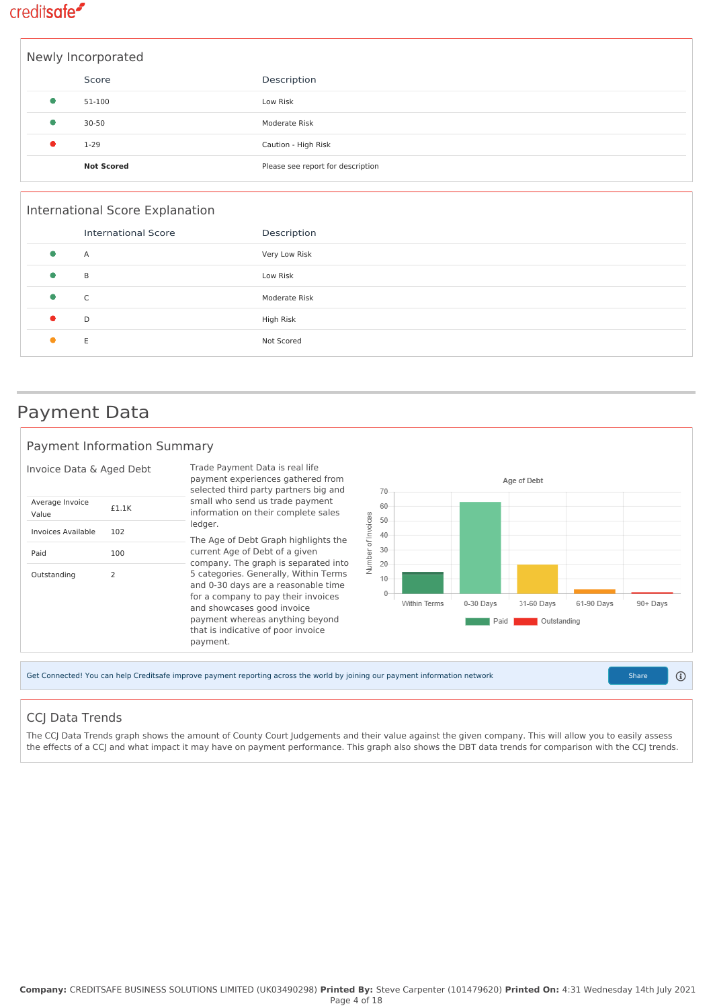

|   | Newly Incorporated |                                   |
|---|--------------------|-----------------------------------|
|   | Score              | Description                       |
| 0 | 51-100             | Low Risk                          |
|   | $30 - 50$          | Moderate Risk                     |
|   | $1 - 29$           | Caution - High Risk               |
|   | <b>Not Scored</b>  | Please see report for description |

|           | International Score Explanation |               |
|-----------|---------------------------------|---------------|
|           | <b>International Score</b>      | Description   |
| $\bullet$ | Α                               | Very Low Risk |
| $\bullet$ | B                               | Low Risk      |
| $\bullet$ | C                               | Moderate Risk |
|           | D                               | High Risk     |
|           | Ε                               | Not Scored    |
|           |                                 |               |

### Payment Data

#### Payment Information Summary



### CCJ Data Trends

The CCJ Data Trends graph shows the amount of County Court Judgements and their value against the given company. This will allow you to easily assess the effects of a CCJ and what impact it may have on payment performance. This graph also shows the DBT data trends for comparison with the CCJ trends.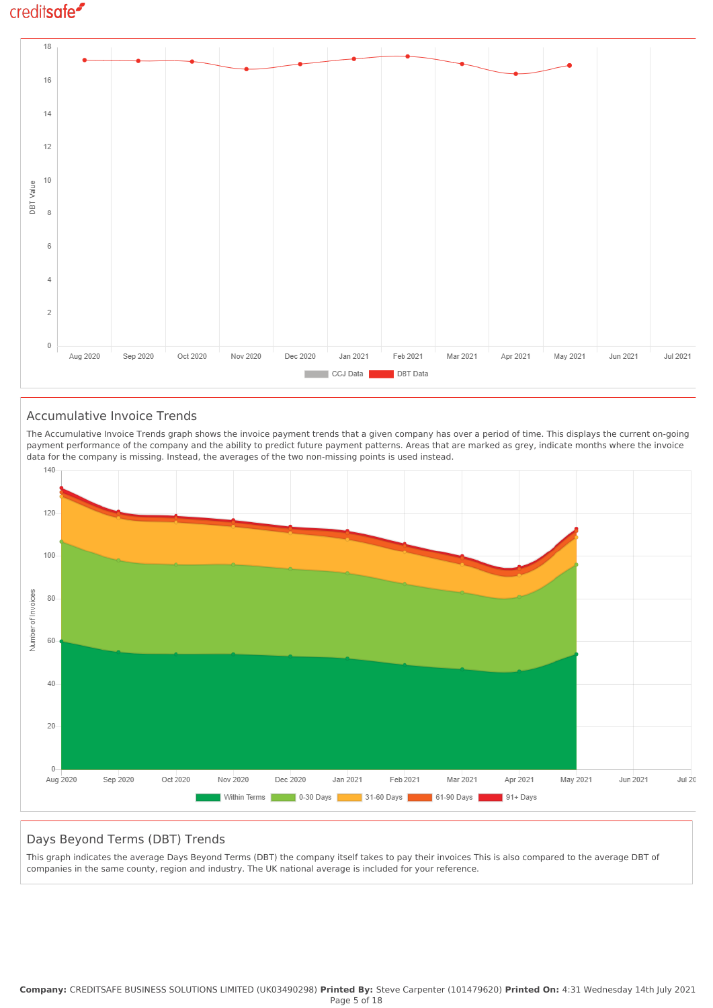

#### Accumulative Invoice Trends

The Accumulative Invoice Trends graph shows the invoice payment trends that a given company has over a period of time. This displays the current on-going payment performance of the company and the ability to predict future payment patterns. Areas that are marked as grey, indicate months where the invoice data for the company is missing. Instead, the averages of the two non-missing points is used instead.



#### Days Beyond Terms (DBT) Trends

This graph indicates the average Days Beyond Terms (DBT) the company itself takes to pay their invoices This is also compared to the average DBT of companies in the same county, region and industry. The UK national average is included for your reference.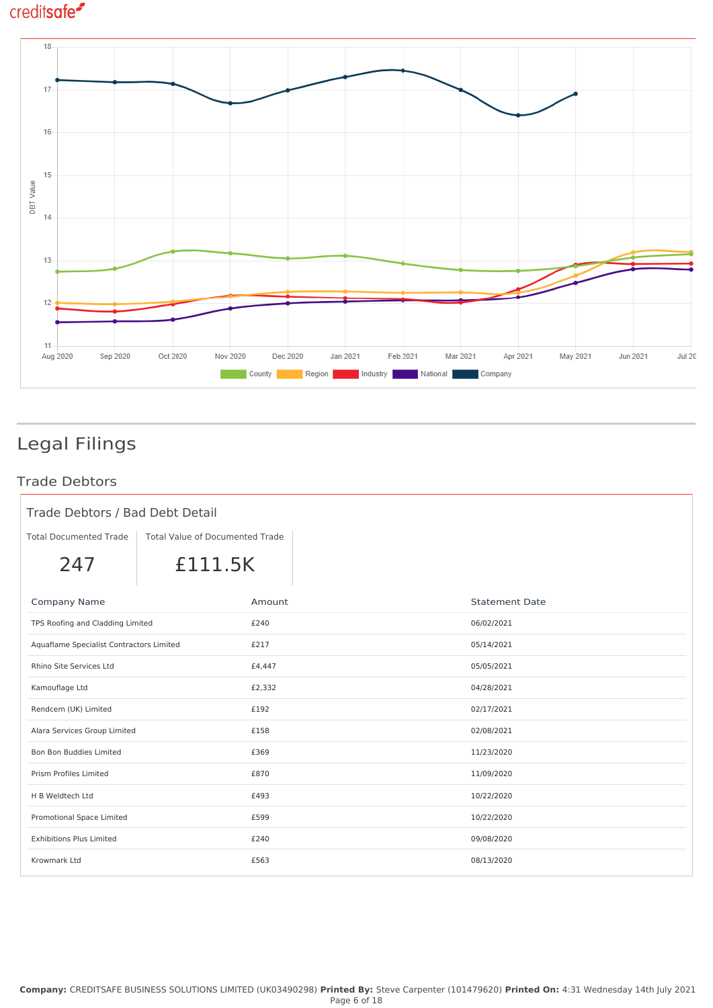

# Legal Filings

### Trade Debtors

| Trade Debtors / Bad Debt Detail          |                                 |        |                       |  |
|------------------------------------------|---------------------------------|--------|-----------------------|--|
| <b>Total Documented Trade</b>            | Total Value of Documented Trade |        |                       |  |
| 247                                      | £111.5K                         |        |                       |  |
| Company Name                             |                                 | Amount | <b>Statement Date</b> |  |
| TPS Roofing and Cladding Limited         |                                 | £240   | 06/02/2021            |  |
| Aquaflame Specialist Contractors Limited |                                 | £217   | 05/14/2021            |  |
| Rhino Site Services Ltd                  |                                 | £4,447 | 05/05/2021            |  |
| Kamouflage Ltd                           |                                 | £2,332 | 04/28/2021            |  |
| Rendcem (UK) Limited                     |                                 | £192   | 02/17/2021            |  |
| Alara Services Group Limited             |                                 | £158   | 02/08/2021            |  |
| Bon Bon Buddies Limited                  |                                 | £369   | 11/23/2020            |  |
| Prism Profiles Limited                   |                                 | £870   | 11/09/2020            |  |
| H B Weldtech Ltd                         |                                 | £493   | 10/22/2020            |  |
| Promotional Space Limited                |                                 | £599   | 10/22/2020            |  |
| <b>Exhibitions Plus Limited</b>          |                                 | £240   | 09/08/2020            |  |
| Krowmark Ltd                             |                                 | £563   | 08/13/2020            |  |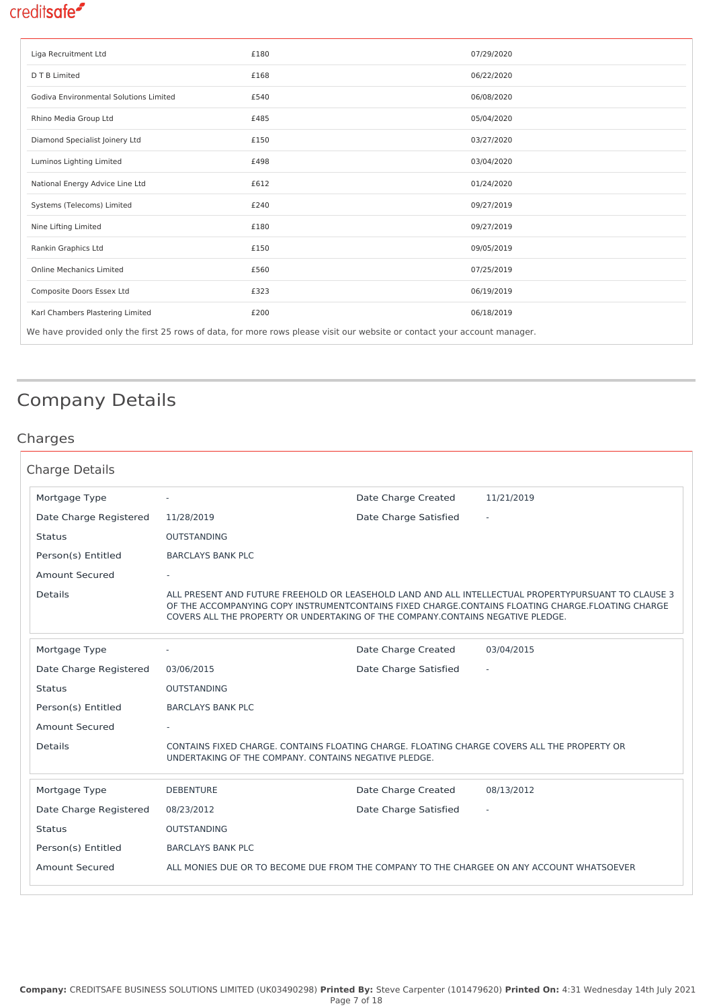| Liga Recruitment Ltd                                                                                                     | £180 | 07/29/2020 |  |  |
|--------------------------------------------------------------------------------------------------------------------------|------|------------|--|--|
| D T B Limited                                                                                                            | £168 | 06/22/2020 |  |  |
| Godiva Environmental Solutions Limited                                                                                   | £540 | 06/08/2020 |  |  |
| Rhino Media Group Ltd                                                                                                    | £485 | 05/04/2020 |  |  |
| Diamond Specialist Joinery Ltd                                                                                           | £150 | 03/27/2020 |  |  |
| Luminos Lighting Limited                                                                                                 | £498 | 03/04/2020 |  |  |
| National Energy Advice Line Ltd                                                                                          | £612 | 01/24/2020 |  |  |
| Systems (Telecoms) Limited                                                                                               | £240 | 09/27/2019 |  |  |
| Nine Lifting Limited                                                                                                     | £180 | 09/27/2019 |  |  |
| Rankin Graphics Ltd                                                                                                      | £150 | 09/05/2019 |  |  |
| <b>Online Mechanics Limited</b>                                                                                          | £560 | 07/25/2019 |  |  |
| Composite Doors Essex Ltd                                                                                                | £323 | 06/19/2019 |  |  |
| Karl Chambers Plastering Limited                                                                                         | £200 | 06/18/2019 |  |  |
| We have provided only the first 25 rows of data, for more rows please visit our website or contact your account manager. |      |            |  |  |

# Company Details

### Charges

| <b>Charge Details</b>  |                                                                                                                                                      |                       |                                                                                                                                                                                                          |
|------------------------|------------------------------------------------------------------------------------------------------------------------------------------------------|-----------------------|----------------------------------------------------------------------------------------------------------------------------------------------------------------------------------------------------------|
| Mortgage Type          |                                                                                                                                                      | Date Charge Created   | 11/21/2019                                                                                                                                                                                               |
| Date Charge Registered | 11/28/2019                                                                                                                                           | Date Charge Satisfied |                                                                                                                                                                                                          |
| <b>Status</b>          | <b>OUTSTANDING</b>                                                                                                                                   |                       |                                                                                                                                                                                                          |
| Person(s) Entitled     | <b>BARCLAYS BANK PLC</b>                                                                                                                             |                       |                                                                                                                                                                                                          |
| Amount Secured         |                                                                                                                                                      |                       |                                                                                                                                                                                                          |
| <b>Details</b>         | COVERS ALL THE PROPERTY OR UNDERTAKING OF THE COMPANY CONTAINS NEGATIVE PLEDGE.                                                                      |                       | ALL PRESENT AND FUTURE FREEHOLD OR LEASEHOLD LAND AND ALL INTELLECTUAL PROPERTYPURSUANT TO CLAUSE 3<br>OF THE ACCOMPANYING COPY INSTRUMENTCONTAINS FIXED CHARGE.CONTAINS FLOATING CHARGE.FLOATING CHARGE |
| Mortgage Type          |                                                                                                                                                      | Date Charge Created   | 03/04/2015                                                                                                                                                                                               |
| Date Charge Registered | 03/06/2015                                                                                                                                           | Date Charge Satisfied |                                                                                                                                                                                                          |
| <b>Status</b>          | <b>OUTSTANDING</b>                                                                                                                                   |                       |                                                                                                                                                                                                          |
| Person(s) Entitled     | <b>BARCLAYS BANK PLC</b>                                                                                                                             |                       |                                                                                                                                                                                                          |
| <b>Amount Secured</b>  |                                                                                                                                                      |                       |                                                                                                                                                                                                          |
| <b>Details</b>         | CONTAINS FIXED CHARGE, CONTAINS FLOATING CHARGE, FLOATING CHARGE COVERS ALL THE PROPERTY OR<br>UNDERTAKING OF THE COMPANY, CONTAINS NEGATIVE PLEDGE. |                       |                                                                                                                                                                                                          |
| Mortgage Type          | <b>DEBENTURE</b>                                                                                                                                     | Date Charge Created   | 08/13/2012                                                                                                                                                                                               |
| Date Charge Registered | 08/23/2012                                                                                                                                           | Date Charge Satisfied |                                                                                                                                                                                                          |
| <b>Status</b>          | <b>OUTSTANDING</b>                                                                                                                                   |                       |                                                                                                                                                                                                          |
| Person(s) Entitled     | <b>BARCLAYS BANK PLC</b>                                                                                                                             |                       |                                                                                                                                                                                                          |
| <b>Amount Secured</b>  | ALL MONIES DUE OR TO BECOME DUE FROM THE COMPANY TO THE CHARGEE ON ANY ACCOUNT WHATSOEVER                                                            |                       |                                                                                                                                                                                                          |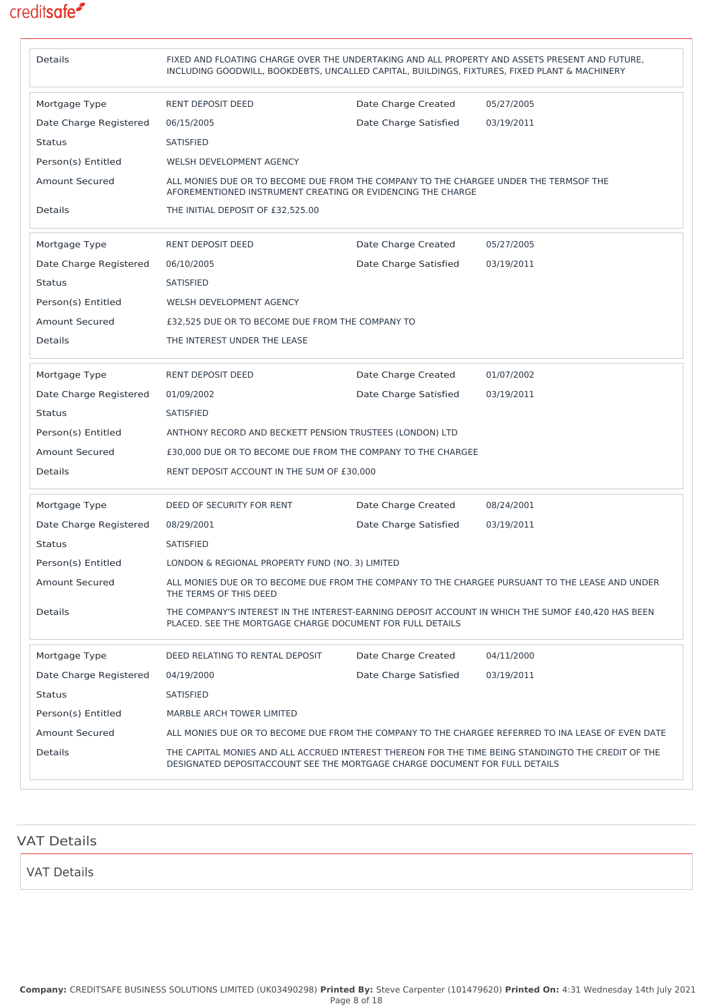| <b>Details</b>         | FIXED AND FLOATING CHARGE OVER THE UNDERTAKING AND ALL PROPERTY AND ASSETS PRESENT AND FUTURE,<br>INCLUDING GOODWILL, BOOKDEBTS, UNCALLED CAPITAL, BUILDINGS, FIXTURES, FIXED PLANT & MACHINERY |                       |                                                                                                     |
|------------------------|-------------------------------------------------------------------------------------------------------------------------------------------------------------------------------------------------|-----------------------|-----------------------------------------------------------------------------------------------------|
| Mortgage Type          | <b>RENT DEPOSIT DEED</b>                                                                                                                                                                        | Date Charge Created   | 05/27/2005                                                                                          |
| Date Charge Registered | 06/15/2005                                                                                                                                                                                      | Date Charge Satisfied | 03/19/2011                                                                                          |
| <b>Status</b>          | <b>SATISFIED</b>                                                                                                                                                                                |                       |                                                                                                     |
| Person(s) Entitled     | WELSH DEVELOPMENT AGENCY                                                                                                                                                                        |                       |                                                                                                     |
| <b>Amount Secured</b>  | ALL MONIES DUE OR TO BECOME DUE FROM THE COMPANY TO THE CHARGEE UNDER THE TERMSOF THE<br>AFOREMENTIONED INSTRUMENT CREATING OR EVIDENCING THE CHARGE                                            |                       |                                                                                                     |
| Details                | THE INITIAL DEPOSIT OF £32,525.00                                                                                                                                                               |                       |                                                                                                     |
| Mortgage Type          | RENT DEPOSIT DEED                                                                                                                                                                               | Date Charge Created   | 05/27/2005                                                                                          |
| Date Charge Registered | 06/10/2005                                                                                                                                                                                      | Date Charge Satisfied | 03/19/2011                                                                                          |
| <b>Status</b>          | <b>SATISFIED</b>                                                                                                                                                                                |                       |                                                                                                     |
| Person(s) Entitled     | WELSH DEVELOPMENT AGENCY                                                                                                                                                                        |                       |                                                                                                     |
| <b>Amount Secured</b>  | £32,525 DUE OR TO BECOME DUE FROM THE COMPANY TO                                                                                                                                                |                       |                                                                                                     |
| Details                | THE INTEREST UNDER THE LEASE                                                                                                                                                                    |                       |                                                                                                     |
| Mortgage Type          | RENT DEPOSIT DEED                                                                                                                                                                               | Date Charge Created   | 01/07/2002                                                                                          |
| Date Charge Registered | 01/09/2002                                                                                                                                                                                      | Date Charge Satisfied | 03/19/2011                                                                                          |
| <b>Status</b>          | <b>SATISFIED</b>                                                                                                                                                                                |                       |                                                                                                     |
| Person(s) Entitled     | ANTHONY RECORD AND BECKETT PENSION TRUSTEES (LONDON) LTD                                                                                                                                        |                       |                                                                                                     |
| <b>Amount Secured</b>  | £30,000 DUE OR TO BECOME DUE FROM THE COMPANY TO THE CHARGEE                                                                                                                                    |                       |                                                                                                     |
| <b>Details</b>         | RENT DEPOSIT ACCOUNT IN THE SUM OF £30,000                                                                                                                                                      |                       |                                                                                                     |
| Mortgage Type          | DEED OF SECURITY FOR RENT                                                                                                                                                                       | Date Charge Created   | 08/24/2001                                                                                          |
| Date Charge Registered | 08/29/2001                                                                                                                                                                                      | Date Charge Satisfied | 03/19/2011                                                                                          |
| <b>Status</b>          | <b>SATISFIED</b>                                                                                                                                                                                |                       |                                                                                                     |
| Person(s) Entitled     | LONDON & REGIONAL PROPERTY FUND (NO. 3) LIMITED                                                                                                                                                 |                       |                                                                                                     |
| <b>Amount Secured</b>  | THE TERMS OF THIS DEED                                                                                                                                                                          |                       | ALL MONIES DUE OR TO BECOME DUE FROM THE COMPANY TO THE CHARGEE PURSUANT TO THE LEASE AND UNDER     |
| Details                | PLACED. SEE THE MORTGAGE CHARGE DOCUMENT FOR FULL DETAILS                                                                                                                                       |                       | THE COMPANY'S INTEREST IN THE INTEREST-EARNING DEPOSIT ACCOUNT IN WHICH THE SUMOF £40,420 HAS BEEN  |
| Mortgage Type          | DEED RELATING TO RENTAL DEPOSIT                                                                                                                                                                 | Date Charge Created   | 04/11/2000                                                                                          |
| Date Charge Registered | 04/19/2000                                                                                                                                                                                      | Date Charge Satisfied | 03/19/2011                                                                                          |
| <b>Status</b>          | SATISFIED                                                                                                                                                                                       |                       |                                                                                                     |
| Person(s) Entitled     | MARBLE ARCH TOWER LIMITED                                                                                                                                                                       |                       |                                                                                                     |
| <b>Amount Secured</b>  |                                                                                                                                                                                                 |                       | ALL MONIES DUE OR TO BECOME DUE FROM THE COMPANY TO THE CHARGEE REFERRED TO INA LEASE OF EVEN DATE  |
| Details                | DESIGNATED DEPOSITACCOUNT SEE THE MORTGAGE CHARGE DOCUMENT FOR FULL DETAILS                                                                                                                     |                       | THE CAPITAL MONIES AND ALL ACCRUED INTEREST THEREON FOR THE TIME BEING STANDINGTO THE CREDIT OF THE |

| <b>VAT Details</b> |  |  |  |
|--------------------|--|--|--|
| VAT Details        |  |  |  |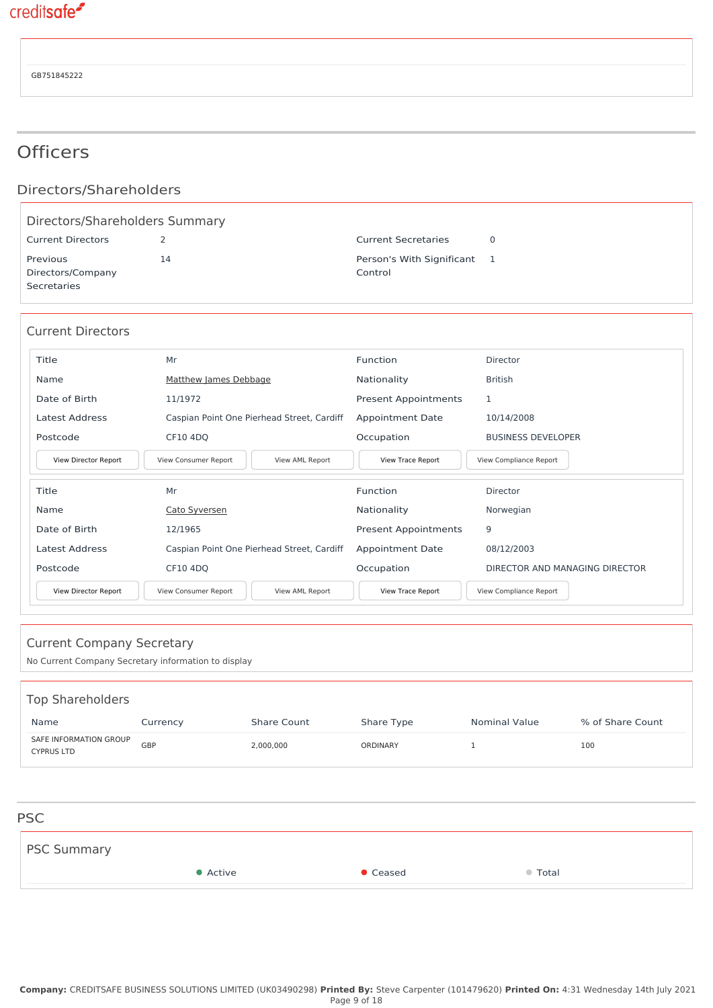GB751845222

## **Officers**

### Directors/Shareholders

| Directors/Shareholders Summary               |    |                                        |  |  |  |
|----------------------------------------------|----|----------------------------------------|--|--|--|
| <b>Current Directors</b>                     |    | <b>Current Secretaries</b>             |  |  |  |
| Previous<br>Directors/Company<br>Secretaries | 14 | Person's With Significant 1<br>Control |  |  |  |

#### Current Directors

| Title                | Mr                                         | Function                    | <b>Director</b>           |
|----------------------|--------------------------------------------|-----------------------------|---------------------------|
| Name                 | Matthew James Debbage                      | Nationality                 | <b>British</b>            |
| Date of Birth        | 11/1972                                    | <b>Present Appointments</b> |                           |
| Latest Address       | Caspian Point One Pierhead Street, Cardiff | <b>Appointment Date</b>     | 10/14/2008                |
| Postcode             | CF10 4DQ                                   | Occupation                  | <b>BUSINESS DEVELOPER</b> |
| View Director Report | View Consumer Report<br>View AML Report    | View Trace Report           | View Compliance Report    |
| Title                | Mr                                         | Function                    | Director                  |
| Name                 | Cato Syversen                              | Nationality                 | Norwegian                 |

| Name                 | Cato Syversen                              | Nationality                 | Norwegian                      |
|----------------------|--------------------------------------------|-----------------------------|--------------------------------|
| Date of Birth        | 12/1965                                    | <b>Present Appointments</b> | 9                              |
| Latest Address       | Caspian Point One Pierhead Street, Cardiff | <b>Appointment Date</b>     | 08/12/2003                     |
| Postcode             | CF10 4DO                                   | Occupation                  | DIRECTOR AND MANAGING DIRECTOR |
| View Director Report | View Consumer Report<br>View AML Report    | View Trace Report           | View Compliance Report         |
|                      |                                            |                             |                                |

| <b>Current Company Secretary</b><br>No Current Company Secretary information to display |          |             |                 |                      |                  |  |
|-----------------------------------------------------------------------------------------|----------|-------------|-----------------|----------------------|------------------|--|
| <b>Top Shareholders</b><br>Name                                                         | Currency | Share Count | Share Type      | <b>Nominal Value</b> | % of Share Count |  |
| SAFE INFORMATION GROUP<br><b>CYPRUS LTD</b>                                             | GBP      | 2,000,000   | <b>ORDINARY</b> | 1                    | 100              |  |
|                                                                                         |          |             |                 |                      |                  |  |
| <b>PSC</b>                                                                              |          |             |                 |                      |                  |  |
| <b>PSC Summary</b>                                                                      |          |             |                 |                      |                  |  |
|                                                                                         | • Active |             | Ceased          | ● Total              |                  |  |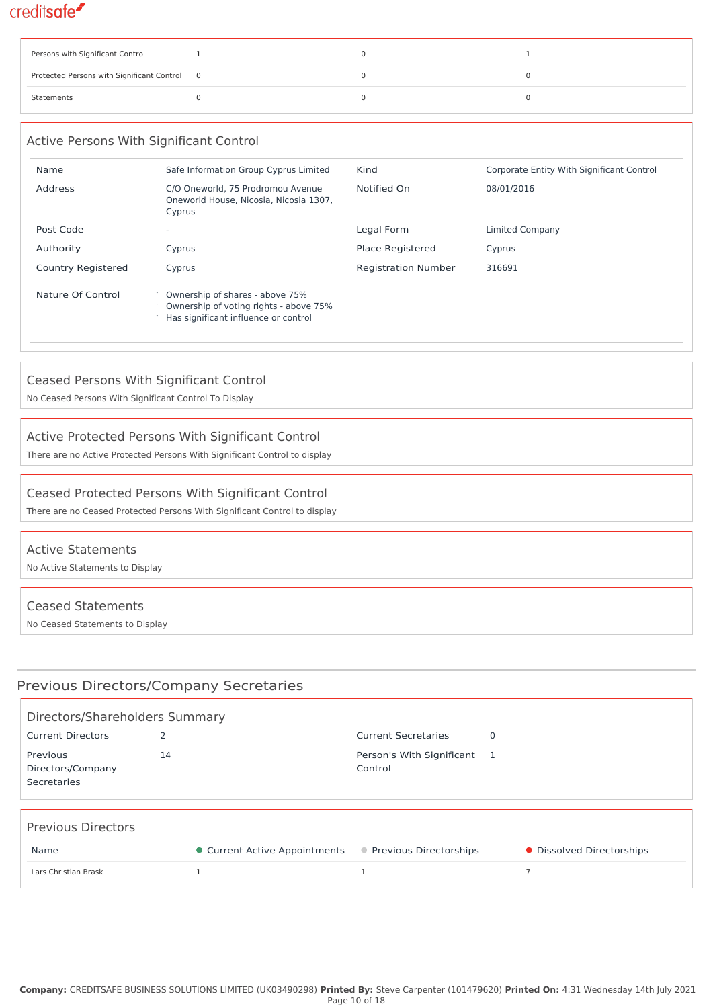| Persons with Significant Control             |  |  |
|----------------------------------------------|--|--|
| Protected Persons with Significant Control 0 |  |  |
| Statements                                   |  |  |

### Active Persons With Significant Control Name Safe Information Group Cyprus Limited Kind Corporate Entity With Significant Control Address C/O Oneworld, 75 Prodromou Avenue Oneworld House, Nicosia, Nicosia 1307, Cyprus Notified On 08/01/2016 Post Code <sup>-</sup> Legal Form Limited Company Code - Legal Form Limited Company Authority **Cyprus** Cyprus **Place Registered** Cyprus Country Registered Cyprus Cyprus Registration Number 316691 Nature Of Control <sup>o</sup> Ownership of shares - above 75% Ownership of voting rights - above 75% Has significant influence or control

### Ceased Persons With Significant Control

No Ceased Persons With Significant Control To Display

### Active Protected Persons With Significant Control

There are no Active Protected Persons With Significant Control to display

#### Ceased Protected Persons With Significant Control

There are no Ceased Protected Persons With Significant Control to display

#### Active Statements

No Active Statements to Display

#### Ceased Statements

No Ceased Statements to Display

### Previous Directors/Company Secretaries

| Directors/Shareholders Summary               |                |                               |                                      |   |                           |  |  |  |
|----------------------------------------------|----------------|-------------------------------|--------------------------------------|---|---------------------------|--|--|--|
| <b>Current Directors</b>                     | $\overline{2}$ |                               | <b>Current Secretaries</b>           | 0 |                           |  |  |  |
| Previous<br>Directors/Company<br>Secretaries | 14             |                               | Person's With Significant<br>Control |   |                           |  |  |  |
| <b>Previous Directors</b>                    |                |                               |                                      |   |                           |  |  |  |
| Name                                         |                | • Current Active Appointments | ● Previous Directorships             |   | • Dissolved Directorships |  |  |  |
| Lars Christian Brask                         |                |                               |                                      |   |                           |  |  |  |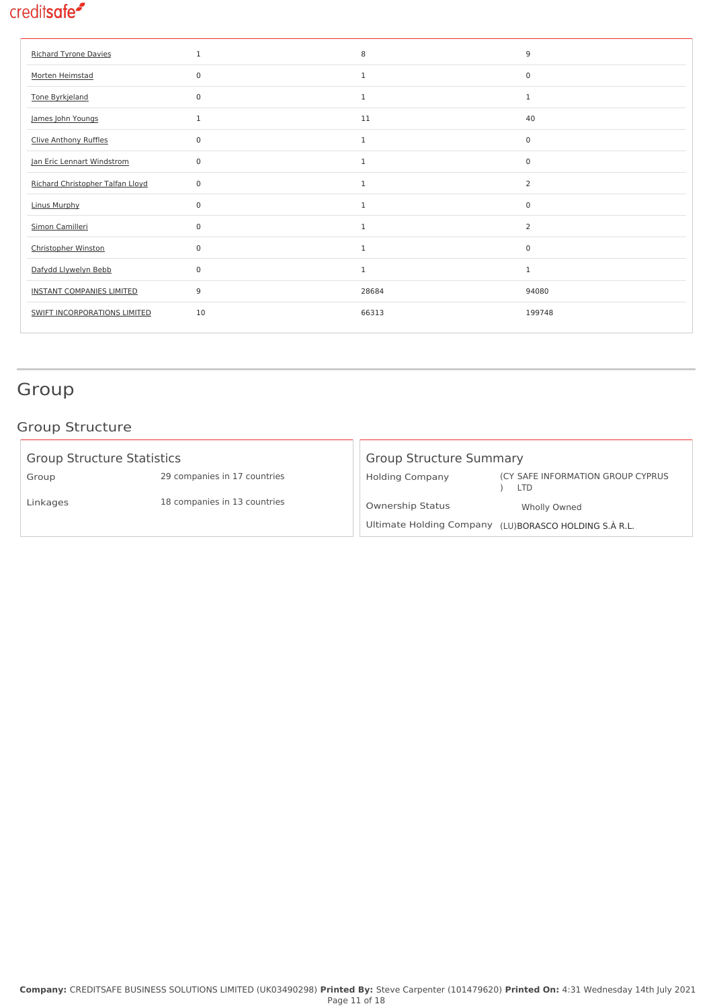| <b>Richard Tyrone Davies</b>     | $\mathbf{1}$ | 8            | 9                   |
|----------------------------------|--------------|--------------|---------------------|
| Morten Heimstad                  | $\Omega$     | $\mathbf{1}$ | $\mathbf 0$         |
| Tone Byrkjeland                  | $\mathbf 0$  | $\mathbf{1}$ | $\mathbf{1}$        |
| James John Youngs                | 1            | 11           | 40                  |
| Clive Anthony Ruffles            | $\mathbf 0$  | $\mathbf{1}$ | $\mathsf{O}\xspace$ |
| Jan Eric Lennart Windstrom       | $\Omega$     | $\mathbf{1}$ | $\mathbf 0$         |
| Richard Christopher Talfan Lloyd | $\mathbf 0$  | $\mathbf{1}$ | $\overline{2}$      |
| <b>Linus Murphy</b>              | $\mathbf 0$  | $\mathbf{1}$ | 0                   |
| Simon Camilleri                  | $\mathbf 0$  | $\mathbf{1}$ | $\overline{2}$      |
| <b>Christopher Winston</b>       | $\Omega$     | $\mathbf{1}$ | $\mathbf 0$         |
| Dafydd Llywelyn Bebb             | $\mathbf 0$  | $\mathbf{1}$ | $\mathbf{1}$        |
| <b>INSTANT COMPANIES LIMITED</b> | 9            | 28684        | 94080               |
| SWIFT INCORPORATIONS LIMITED     | 10           | 66313        | 199748              |

# Group

### Group Structure

| <b>Group Structure Statistics</b> |                              | <b>Group Structure Summary</b> |                                                       |  |
|-----------------------------------|------------------------------|--------------------------------|-------------------------------------------------------|--|
| Group                             | 29 companies in 17 countries | <b>Holding Company</b>         | (CY SAFE INFORMATION GROUP CYPRUS<br>LTD              |  |
| Linkages                          | 18 companies in 13 countries | <b>Ownership Status</b>        | Wholly Owned                                          |  |
|                                   |                              |                                | Ultimate Holding Company (LU)BORASCO HOLDING S.À R.L. |  |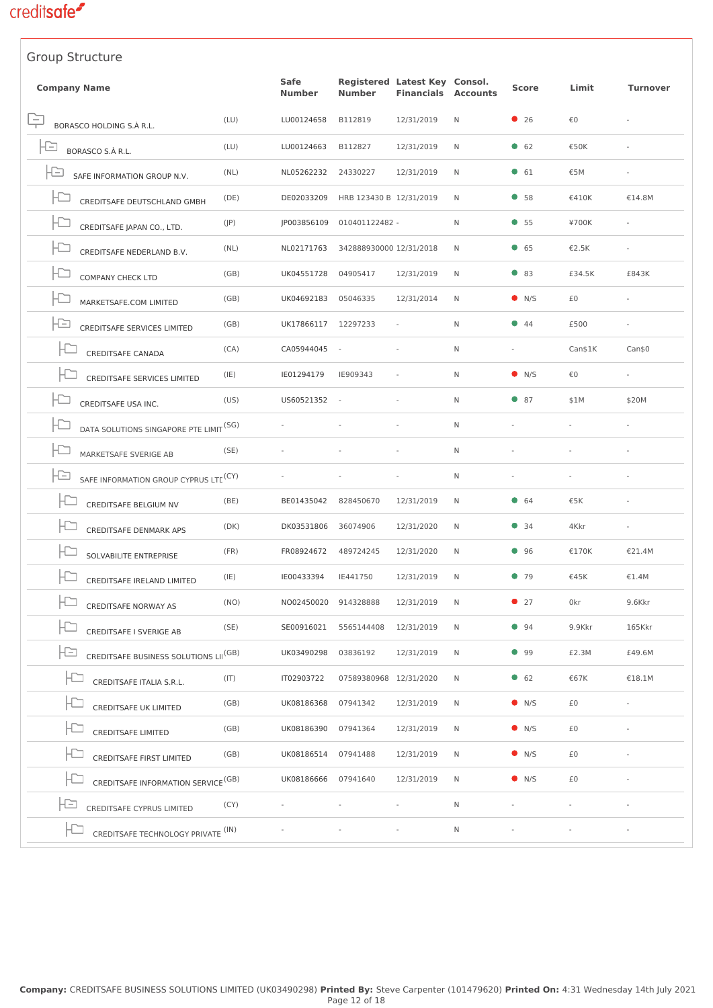| <b>Group Structure</b>                                   |      |                       |                         |                                                    |                 |               |         |          |
|----------------------------------------------------------|------|-----------------------|-------------------------|----------------------------------------------------|-----------------|---------------|---------|----------|
| <b>Company Name</b>                                      |      | Safe<br><b>Number</b> | <b>Number</b>           | Registered Latest Key Consol.<br><b>Financials</b> | <b>Accounts</b> | <b>Score</b>  | Limit   | Turnover |
| ÷<br>BORASCO HOLDING S.À R.L.                            | (LU) | LU00124658            | B112819                 | 12/31/2019                                         | N               | • 26          | €0      |          |
| Ð<br>BORASCO S.À R.L.                                    | (LU) | LU00124663            | B112827                 | 12/31/2019                                         | N               | 62            | €50K    |          |
| Ð<br>SAFE INFORMATION GROUP N.V.                         | (NL) | NL05262232            | 24330227                | 12/31/2019                                         | N               | $\bullet$ 61  | €5M     |          |
| Ð<br>CREDITSAFE DEUTSCHLAND GMBH                         | (DE) | DE02033209            | HRB 123430 B 12/31/2019 |                                                    | N               | •58           | €410K   | €14.8M   |
| F٢<br>CREDITSAFE JAPAN CO., LTD.                         | (JP) | JP003856109           | 010401122482 -          |                                                    | N               | •55           | ¥700K   |          |
| $\overline{\phantom{a}}$<br>CREDITSAFE NEDERLAND B.V.    | (NL) | NL02171763            | 342888930000 12/31/2018 |                                                    | N               | 65            | €2.5K   |          |
| <b>COMPANY CHECK LTD</b>                                 | (GB) | UK04551728            | 04905417                | 12/31/2019                                         | N               | $\bullet$ 83  | £34.5K  | £843K    |
| Ð<br>MARKETSAFE.COM LIMITED                              | (GB) | UK04692183            | 05046335                | 12/31/2014                                         | N               | $\bullet$ N/S | £0      |          |
| Ð<br><b>CREDITSAFE SERVICES LIMITED</b>                  | (GB) | UK17866117            | 12297233                |                                                    | $\mathsf{N}$    | $\bullet$ 44  | £500    |          |
| $\Box$<br><b>CREDITSAFE CANADA</b>                       | (CA) | CA05944045            |                         |                                                    | N               | ÷,            | Can\$1K | Can\$0   |
| <b>CREDITSAFE SERVICES LIMITED</b>                       | (IE) | IE01294179            | IE909343                |                                                    | N               | $\bullet$ N/S | €0      |          |
| Ð<br>CREDITSAFE USA INC.                                 | (US) | US60521352            | $\sim$                  |                                                    | N               | $\bullet$ 87  | \$1M    | \$20M    |
| DATA SOLUTIONS SINGAPORE PTE LIMIT <sup>(SG)</sup>       |      |                       |                         |                                                    | N               |               |         |          |
| ۲D<br>MARKETSAFE SVERIGE AB                              | (SE) |                       |                         |                                                    | N               |               |         |          |
| -13<br>SAFE INFORMATION GROUP CYPRUS LTE <sup>(CY)</sup> |      |                       |                         |                                                    | N               |               |         |          |
| H<br>CREDITSAFE BELGIUM NV                               | (BE) | BE01435042            | 828450670               | 12/31/2019                                         | N               | • 64          | €5K     |          |
| <b>CREDITSAFE DENMARK APS</b>                            | (DK) | DK03531806            | 36074906                | 12/31/2020                                         | N               | • 34          | 4Kkr    |          |
| F٢<br>SOLVABILITE ENTREPRISE                             | (FR) | FR08924672            | 489724245               | 12/31/2020                                         | N               | 96            | €170K   | €21.4M   |
| F<br>CREDITSAFE IRELAND LIMITED                          | (IE) | IE00433394            | IE441750                | 12/31/2019                                         | Ν               | •79           | €45K    | €1.4M    |
| CREDITSAFE NORWAY AS                                     | (NO) | NO02450020 914328888  |                         | 12/31/2019                                         | N               | $\bullet$ 27  | 0kr     | 9.6Kkr   |
| CREDITSAFE I SVERIGE AB                                  | (SE) | SE00916021            | 5565144408              | 12/31/2019                                         | N               | 94            | 9.9Kkr  | 165Kkr   |
| ŀD<br>CREDITSAFE BUSINESS SOLUTIONS LII <sup>(GB)</sup>  |      | UK03490298            | 03836192                | 12/31/2019                                         | N               | 99            | £2.3M   | £49.6M   |
| CREDITSAFE ITALIA S.R.L.                                 | (T ) | IT02903722            | 07589380968 12/31/2020  |                                                    | N               | 62            | €67K    | €18.1M   |
| <b>CREDITSAFE UK LIMITED</b>                             | (GB) | UK08186368            | 07941342                | 12/31/2019                                         | N               | $\bullet$ N/S | £0      |          |
| CREDITSAFE LIMITED                                       | (GB) | UK08186390            | 07941364                | 12/31/2019                                         | N               | $\bullet$ N/S | £0      |          |
| ID<br>CREDITSAFE FIRST LIMITED                           | (GB) | UK08186514            | 07941488                | 12/31/2019                                         | N               | $\bullet$ N/S | £0      |          |
| ۲D<br>CREDITSAFE INFORMATION SERVICE <sup>(GB)</sup>     |      | UK08186666            | 07941640                | 12/31/2019                                         | N               | $\bullet$ N/S | £0      |          |
| FĐ<br>CREDITSAFE CYPRUS LIMITED                          | (CY) |                       |                         |                                                    | N               |               |         |          |
| Ю<br>CREDITSAFE TECHNOLOGY PRIVATE <sup>(IN)</sup>       |      |                       |                         |                                                    | N               |               |         |          |
|                                                          |      |                       |                         |                                                    |                 |               |         |          |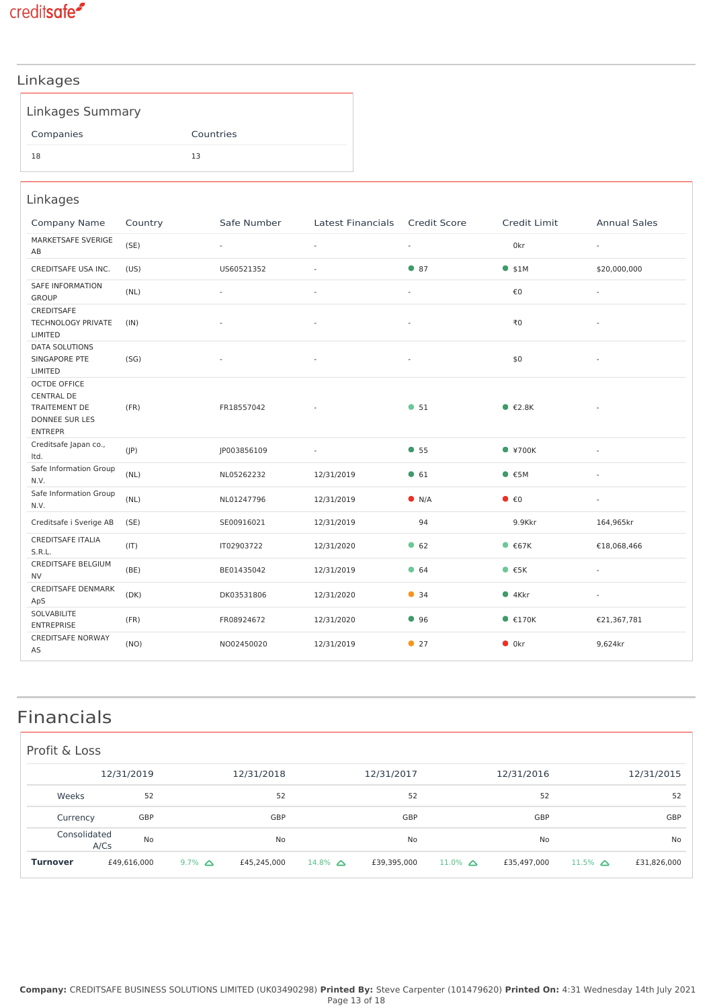

#### Linkages

Companies Countries

18 13

| Linkages                                                                                      |         |                |                          |                     |                                     |                          |
|-----------------------------------------------------------------------------------------------|---------|----------------|--------------------------|---------------------|-------------------------------------|--------------------------|
| <b>Company Name</b>                                                                           | Country | Safe Number    | <b>Latest Financials</b> | <b>Credit Score</b> | Credit Limit                        | <b>Annual Sales</b>      |
| MARKETSAFE SVERIGE<br>AB                                                                      | (SE)    | $\blacksquare$ | $\sim$                   | $\blacksquare$      | 0kr                                 | $\overline{\phantom{a}}$ |
| CREDITSAFE USA INC.                                                                           | (US)    | US60521352     | $\overline{a}$           | • 87                | $•$ \$1M                            | \$20,000,000             |
| <b>SAFE INFORMATION</b><br><b>GROUP</b>                                                       | (NL)    | $\sim$         |                          | $\sim$              | €0                                  | $\sim$                   |
| <b>CREDITSAFE</b><br>TECHNOLOGY PRIVATE<br>LIMITED                                            | (IN)    |                |                          | ä,                  | ₹0                                  |                          |
| <b>DATA SOLUTIONS</b><br>SINGAPORE PTE<br>LIMITED                                             | (SG)    |                |                          |                     | \$0                                 |                          |
| <b>OCTDE OFFICE</b><br><b>CENTRAL DE</b><br>TRAITEMENT DE<br>DONNEE SUR LES<br><b>ENTREPR</b> | (FR)    | FR18557042     |                          | • 51                | $\bullet$ $\epsilon$ 2.8K           |                          |
| Creditsafe Japan co.,<br>Itd.                                                                 | (IP)    | JP003856109    |                          | • 55                | $*700K$                             |                          |
| Safe Information Group<br>N.V.                                                                | (NL)    | NL05262232     | 12/31/2019               | • 61                | • 5M                                |                          |
| Safe Information Group<br>N.V.                                                                | (NL)    | NL01247796     | 12/31/2019               | $\bullet$ N/A       | $\bullet$ $\epsilon$ <sup>0</sup>   |                          |
| Creditsafe i Sverige AB                                                                       | (SE)    | SE00916021     | 12/31/2019               | 94                  | 9.9Kkr                              | 164,965kr                |
| <b>CREDITSAFE ITALIA</b><br>S.R.L.                                                            | (IT)    | IT02903722     | 12/31/2020               | 662                 | • 67K                               | €18,068,466              |
| <b>CREDITSAFE BELGIUM</b><br><b>NV</b>                                                        | (BE)    | BE01435042     | 12/31/2019               | $\bullet$ 64        | $\bullet$ $\epsilon$ <sub>5</sub> K |                          |
| <b>CREDITSAFE DENMARK</b><br>ApS                                                              | (DK)    | DK03531806     | 12/31/2020               | • 34                | $•4$ Kkr                            |                          |
| SOLVABILITE<br><b>ENTREPRISE</b>                                                              | (FR)    | FR08924672     | 12/31/2020               | 96                  | $\bullet$ $\epsilon$ 170K           | €21,367,781              |
| <b>CREDITSAFE NORWAY</b><br>AS                                                                | (NO)    | NO02450020     | 12/31/2019               | • 27                | $\bullet$ 0kr                       | 9,624kr                  |

## Financials

| Profit & Loss   |                      |             |                  |             |                |             |                   |             |                      |             |
|-----------------|----------------------|-------------|------------------|-------------|----------------|-------------|-------------------|-------------|----------------------|-------------|
|                 |                      | 12/31/2019  |                  | 12/31/2018  |                | 12/31/2017  |                   | 12/31/2016  |                      | 12/31/2015  |
| Weeks           |                      | 52          |                  | 52          |                | 52          |                   | 52          |                      | 52          |
| Currency        |                      | GBP         |                  | GBP         |                | GBP         |                   | GBP         |                      | GBP         |
|                 | Consolidated<br>A/Cs | No          |                  | <b>No</b>   |                | No          |                   | No          |                      | No          |
| <b>Turnover</b> |                      | £49,616,000 | $9.7\%$ $\Delta$ | £45,245,000 | 14.8% $\Delta$ | £39,395,000 | $11.0\%$ $\Delta$ | £35,497,000 | $11.5\%$ $\triangle$ | £31,826,000 |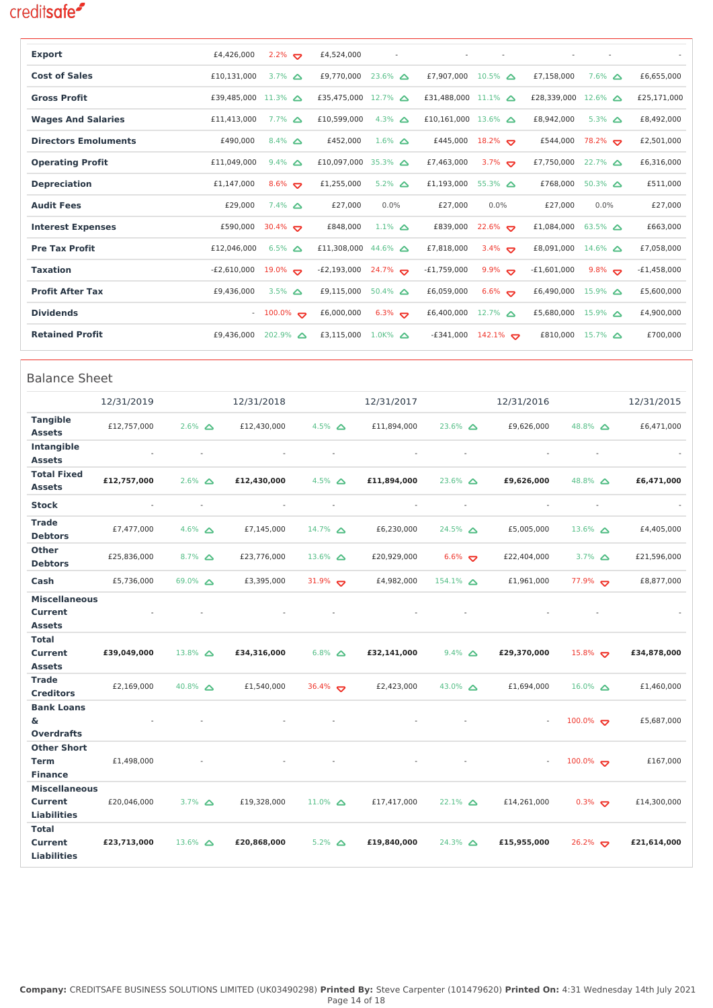**Liabilities**

£23,713,000 13.6% **△** £20,868,000

**Total Current Liabilities**

| <b>Export</b>                       |                          |                  | £4,426,000                    | $2.2\%$                       |                      | £4,524,000                    | $\sim$               |                          |                               | $\sim$               |                               |                            | $\sim$                   |               |
|-------------------------------------|--------------------------|------------------|-------------------------------|-------------------------------|----------------------|-------------------------------|----------------------|--------------------------|-------------------------------|----------------------|-------------------------------|----------------------------|--------------------------|---------------|
| <b>Cost of Sales</b>                |                          |                  | £10,131,000                   | 3.7% $\Delta$                 |                      | £9,770,000                    | $23.6\%$ $\triangle$ |                          | £7,907,000 10.5% $\triangle$  |                      | £7,158,000                    |                            | $7.6\%$ $\Delta$         | £6,655,000    |
| <b>Gross Profit</b>                 |                          |                  | £39,485,000 11.3% $\triangle$ |                               |                      | £35,475,000 12.7% $\triangle$ |                      |                          | £31,488,000 11.1% △           |                      | £28,339,000 12.6% $\triangle$ |                            |                          | £25,171,000   |
| <b>Wages And Salaries</b>           |                          |                  | £11,413,000                   | $7.7\%$ $\Delta$              |                      | £10,599,000                   | 4.3% $\Delta$        |                          | £10,161,000 13.6% $\triangle$ |                      | £8,942,000                    |                            | $5.3\%$ $\Delta$         | £8,492,000    |
| <b>Directors Emoluments</b>         |                          |                  | £490,000                      | 8.4% $\Delta$                 |                      | £452,000                      | $1.6\%$ $\Delta$     |                          | £445,000                      | $18.2\%$             | £544,000                      |                            | $78.2\%$                 | £2,501,000    |
| <b>Operating Profit</b>             |                          |                  | £11,049,000                   | $9.4\%$ $\Delta$              |                      | £10,097,000 35.3% $\triangle$ |                      |                          | £7,463,000                    | 3.7%                 | £7,750,000                    |                            | $22.7\%$ $\triangle$     | £6,316,000    |
| <b>Depreciation</b>                 |                          |                  | £1,147,000                    | 8.6% $\sigma$                 |                      | £1,255,000                    | $5.2\%$ $\Delta$     |                          | £1,193,000                    | $55.3\%$ $\Delta$    | £768,000                      |                            | $50.3\%$ $\Delta$        | £511,000      |
| <b>Audit Fees</b>                   |                          |                  | £29,000                       | $7.4\%$ $\Delta$              |                      | £27,000                       | 0.0%                 |                          | £27,000                       | 0.0%                 | £27,000                       |                            | 0.0%                     | £27,000       |
| <b>Interest Expenses</b>            |                          |                  | £590,000                      | 30.4% $\bullet$               |                      | £848,000                      | $1.1\%$ $\Delta$     |                          | £839,000                      | $22.6\%$             | £1,084,000                    |                            | $63.5\%$ $\triangle$     | £663,000      |
| <b>Pre Tax Profit</b>               |                          |                  | £12,046,000                   | $6.5\%$ $\Delta$              |                      | £11,308,000                   | 44.6% $\Delta$       |                          | £7,818,000                    | 3.4% $\sigma$        | £8,091,000                    |                            | $14.6\%$ $\Delta$        | £7,058,000    |
| <b>Taxation</b>                     |                          |                  | -£2,610,000                   | $19.0\%$ $\blacktriangledown$ |                      | $-E2,193,000$                 | $24.7\%$             |                          | -£1,759,000                   | 9.9% $\sigma$        | -£1,601,000                   |                            | 9.8% $\sigma$            | $-E1,458,000$ |
| <b>Profit After Tax</b>             |                          |                  | £9,436,000                    | 3.5% $\Delta$                 |                      | £9,115,000                    | $50.4\%$ $\Delta$    |                          | £6,059,000                    | $6.6\%$              | £6,490,000                    |                            | $15.9\%$ $\Delta$        | £5,600,000    |
| <b>Dividends</b>                    |                          |                  |                               | $-100.0\%$                    |                      | £6,000,000                    | $6.3\%$              |                          | £6,400,000                    | $12.7\%$ $\triangle$ | £5,680,000 15.9% $\triangle$  |                            |                          | £4,900,000    |
| <b>Retained Profit</b>              |                          |                  | £9,436,000                    | $202.9\%$ $\Delta$            |                      | £3,115,000                    | 1.0K% $\Delta$       |                          | E341,000-                     | $142.1\%$            |                               | £810,000 15.7% $\triangle$ |                          | £700,000      |
|                                     |                          |                  |                               |                               |                      |                               |                      |                          |                               |                      |                               |                            |                          |               |
| <b>Balance Sheet</b>                |                          |                  |                               |                               |                      |                               |                      |                          |                               |                      |                               |                            |                          |               |
|                                     | 12/31/2019               |                  |                               | 12/31/2018                    |                      |                               | 12/31/2017           |                          |                               |                      | 12/31/2016                    |                            |                          | 12/31/2015    |
| <b>Tangible</b><br><b>Assets</b>    | £12,757,000              | $2.6\%$ $\Delta$ |                               | £12,430,000                   | 4.5% $\Delta$        |                               | £11,894,000          |                          | $23.6\%$ $\triangle$          |                      | £9,626,000                    | 48.8% $\Delta$             |                          | £6,471,000    |
| Intangible                          |                          |                  | $\sim$                        |                               |                      | $\sim$                        |                      | $\sim$                   | $\overline{\phantom{a}}$      |                      |                               |                            |                          |               |
| <b>Assets</b><br><b>Total Fixed</b> |                          |                  |                               |                               |                      |                               |                      |                          |                               |                      |                               |                            |                          |               |
| <b>Assets</b>                       | £12,757,000              | $2.6\%$ $\Delta$ |                               | £12,430,000                   | 4.5% $\Delta$        |                               | £11,894,000          |                          | $23.6\%$ $\Delta$             |                      | £9,626,000                    | 48.8% $\Delta$             |                          | £6,471,000    |
| <b>Stock</b>                        | $\overline{\phantom{a}}$ |                  | $\overline{\phantom{a}}$      | $\sim$                        |                      | $\overline{\phantom{a}}$      |                      | $\overline{\phantom{a}}$ | $\overline{\phantom{a}}$      |                      | $\overline{\phantom{a}}$      |                            | $\overline{\phantom{a}}$ |               |
| <b>Trade</b><br><b>Debtors</b>      | £7,477,000               | 4.6% $\Delta$    |                               | £7,145,000                    | $14.7\%$ $\Delta$    |                               | £6,230,000           |                          | $24.5\%$ $\Delta$             |                      | £5,005,000                    | 13.6% $\triangle$          |                          | £4,405,000    |
| <b>Other</b><br><b>Debtors</b>      | £25,836,000              | $8.7\%$ $\Delta$ |                               | £23,776,000                   | $13.6\%$ $\triangle$ |                               | £20,929,000          |                          | $6.6\%$                       |                      | £22,404,000                   | 3.7% $\Delta$              |                          | £21,596,000   |
| Cash                                | £5,736,000               | 69.0% $\Delta$   |                               | £3,395,000                    | 31.9% $\sigma$       |                               | £4,982,000           |                          | $154.1\%$ $\Delta$            |                      | £1,961,000                    | 77.9% $\bullet$            |                          | £8,877,000    |
| <b>Miscellaneous</b>                |                          |                  |                               |                               |                      |                               |                      |                          |                               |                      |                               |                            |                          |               |
| <b>Current</b><br><b>Assets</b>     |                          |                  |                               |                               |                      |                               |                      |                          |                               |                      |                               |                            |                          |               |
| Total                               |                          |                  |                               |                               |                      |                               |                      |                          |                               |                      |                               |                            |                          |               |
| <b>Current</b><br><b>Assets</b>     | £39,049,000              | 13.8% $\Delta$   |                               | £34,316,000                   |                      | $6.8\%$ $\Delta$              | £32,141,000          |                          | $9.4\%$ $\Delta$              |                      | £29,370,000                   | $15.8\%$                   |                          | £34,878,000   |
| <b>Trade</b><br><b>Creditors</b>    | £2,169,000               | 40.8% $\Delta$   |                               | £1,540,000                    | 36.4% $\sigma$       |                               | £2,423,000           |                          | 43.0% $\Delta$                |                      | £1,694,000                    | $16.0\%$ $\Delta$          |                          | £1,460,000    |
| <b>Bank Loans</b>                   |                          |                  |                               |                               |                      |                               |                      |                          |                               |                      |                               |                            |                          |               |
| &.<br><b>Overdrafts</b>             |                          |                  |                               |                               |                      |                               |                      |                          |                               |                      |                               | $100.0\%$                  |                          | £5,687,000    |
| <b>Other Short</b>                  |                          |                  |                               |                               |                      |                               |                      |                          |                               |                      |                               |                            |                          |               |
| <b>Term</b>                         | £1,498,000               |                  |                               |                               |                      |                               |                      |                          |                               |                      |                               | $100.0\%$                  |                          | £167,000      |
| <b>Finance</b>                      |                          |                  |                               |                               |                      |                               |                      |                          |                               |                      |                               |                            |                          |               |
| <b>Miscellaneous</b><br>Current     | £20,046,000              | 3.7% $\Delta$    |                               | £19,328,000                   | $11.0\%$ $\Delta$    |                               | £17,417,000          |                          | $22.1\%$ $\Delta$             |                      | £14,261,000                   | $0.3\%$                    |                          | £14,300,000   |

**£20,868,000** 5.2% **£19,840,000** 24.3% **£15,955,000** 26.2% **£21,614,000**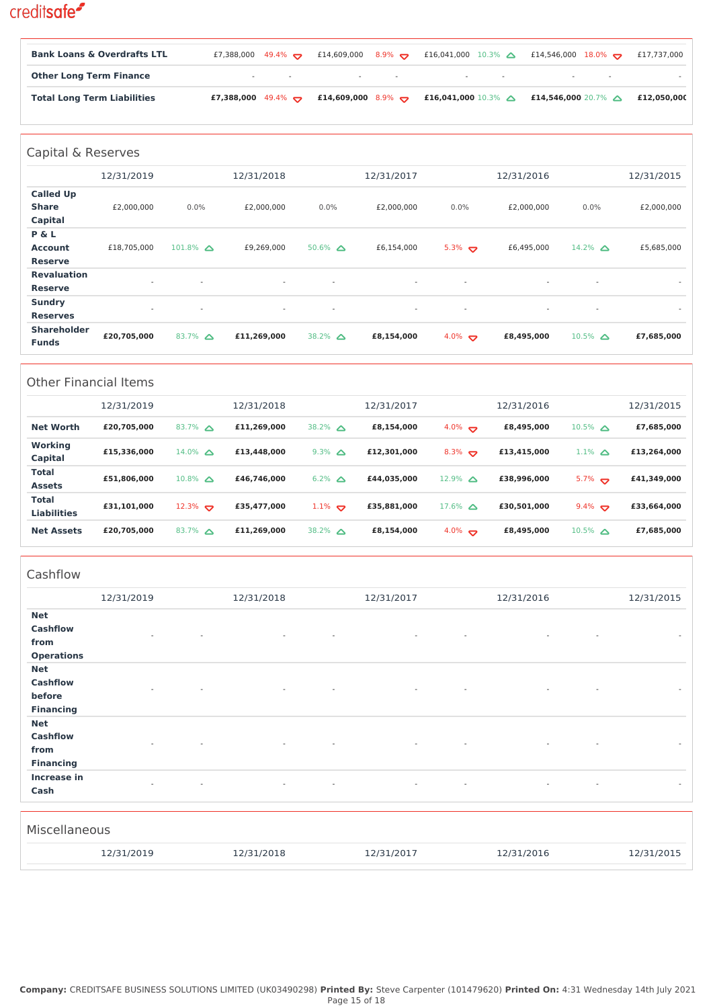| <b>Bank Loans &amp; Overdrafts LTL</b> |  | £7,388,000 49.4% $\bullet$ £14,609,000 8.9% $\bullet$ £16,041,000 10.3% $\bullet$ £14,546,000 18.0% $\bullet$  | £17,737,000 |
|----------------------------------------|--|----------------------------------------------------------------------------------------------------------------|-------------|
| <b>Other Long Term Finance</b>         |  | 100mm - Carolina Andrea, Andrea Maria Andrea, Andrea Maria Andrea, Andrea Maria Andrea, Andrea Maria Andrea, A |             |
| <b>Total Long Term Liabilities</b>     |  | £7,388,000 49.4% $\bullet$ £14,609,000 8.9% $\bullet$ £16,041,000 10.3% $\bullet$ £14,546,000 20.7% $\bullet$  | £12,050,000 |

| Capital & Reserves                          |             |                          |                          |                          |                          |                          |                          |                          |                          |
|---------------------------------------------|-------------|--------------------------|--------------------------|--------------------------|--------------------------|--------------------------|--------------------------|--------------------------|--------------------------|
|                                             | 12/31/2019  |                          | 12/31/2018               |                          | 12/31/2017               |                          | 12/31/2016               |                          | 12/31/2015               |
| <b>Called Up</b><br><b>Share</b><br>Capital | £2,000,000  | $0.0\%$                  | £2,000,000               | $0.0\%$                  | £2,000,000               | 0.0%                     | £2,000,000               | $0.0\%$                  | £2,000,000               |
| P & L<br><b>Account</b><br><b>Reserve</b>   | £18,705,000 | $101.8\%$ $\triangle$    | £9,269,000               | $50.6\%$ $\triangle$     | £6,154,000               | $5.3\%$                  | £6,495,000               | 14.2% $\Delta$           | £5,685,000               |
| <b>Revaluation</b><br><b>Reserve</b>        |             |                          | $\sim$                   | $\overline{\phantom{a}}$ | $\overline{\phantom{a}}$ | $\overline{\phantom{a}}$ | $\overline{\phantom{a}}$ | $\overline{\phantom{a}}$ | $\overline{\phantom{a}}$ |
| <b>Sundry</b><br><b>Reserves</b>            | $\sim$      | $\overline{\phantom{a}}$ | $\overline{\phantom{a}}$ | $\overline{\phantom{a}}$ | $\sim$                   | $\overline{\phantom{a}}$ | $\sim$                   | $\overline{\phantom{a}}$ | $\overline{\phantom{a}}$ |
| <b>Shareholder</b><br><b>Funds</b>          | £20,705,000 | 83.7% $\Delta$           | £11,269,000              | 38.2% $\triangle$        | £8,154,000               | 4.0% $\sigma$            | £8,495,000               | $10.5\%$ $\triangle$     | £7,685,000               |

|                                    | <b>Other Financial Items</b> |                   |             |                     |             |                      |             |                      |             |
|------------------------------------|------------------------------|-------------------|-------------|---------------------|-------------|----------------------|-------------|----------------------|-------------|
|                                    | 12/31/2019                   |                   | 12/31/2018  |                     | 12/31/2017  |                      | 12/31/2016  |                      | 12/31/2015  |
| <b>Net Worth</b>                   | £20,705,000                  | 83.7% $\triangle$ | £11.269.000 | 38.2% $\triangle$   | £8,154,000  | $4.0\%$              | £8,495,000  | $10.5\%$ $\triangle$ | £7,685,000  |
| Working<br>Capital                 | £15,336,000                  | 14.0% $\Delta$    | £13,448,000 | $9.3\%$ $\Delta$    | £12,301,000 | $8.3\%$              | £13,415,000 | $1.1\%$ $\triangle$  | £13,264,000 |
| <b>Total</b><br><b>Assets</b>      | £51,806,000                  | 10.8% $\Lambda$   | £46.746.000 | $6.2\%$ $\triangle$ | £44.035.000 | $12.9\%$ $\triangle$ | £38,996,000 | $5.7\%$              | £41,349,000 |
| <b>Total</b><br><b>Liabilities</b> | £31,101,000                  | $12.3\%$          | £35,477,000 | $1.1\%$             | £35,881,000 | $17.6\%$ $\triangle$ | £30,501,000 | $9.4\%$              | £33,664,000 |
| <b>Net Assets</b>                  | £20,705,000                  | 83.7% $\triangle$ | £11.269.000 | 38.2% $\triangle$   | £8,154,000  | $4.0\%$              | £8,495,000  | $10.5\%$ $\triangle$ | £7,685,000  |

| Cashflow          |                          |            |                  |                                                      |                                    |
|-------------------|--------------------------|------------|------------------|------------------------------------------------------|------------------------------------|
|                   | 12/31/2019               | 12/31/2018 | 12/31/2017       | 12/31/2016                                           | 12/31/2015                         |
| <b>Net</b>        |                          |            |                  |                                                      |                                    |
| <b>Cashflow</b>   | ٠                        | $\sim$     | ÷,               | $\overline{\phantom{a}}$                             | $\sim$                             |
| from              |                          |            |                  |                                                      |                                    |
| <b>Operations</b> |                          |            |                  |                                                      |                                    |
| <b>Net</b>        |                          |            |                  |                                                      |                                    |
| <b>Cashflow</b>   |                          |            |                  |                                                      |                                    |
| before            |                          |            |                  |                                                      |                                    |
| <b>Financing</b>  |                          |            |                  |                                                      |                                    |
| <b>Net</b>        |                          |            |                  |                                                      |                                    |
| <b>Cashflow</b>   | $\overline{\phantom{a}}$ | $\sim$     | $\sim$<br>$\sim$ | $\overline{\phantom{a}}$<br>$\overline{\phantom{a}}$ | $\sim$                             |
| from              |                          |            |                  |                                                      |                                    |
| <b>Financing</b>  |                          |            |                  |                                                      |                                    |
| Increase in       | ٠                        | $\sim$     | $\sim$           | $\overline{\phantom{a}}$<br>$\overline{\phantom{a}}$ | $\overline{\phantom{a}}$<br>$\sim$ |
| Cash              |                          |            |                  |                                                      |                                    |
|                   |                          |            |                  |                                                      |                                    |
| Miscellaneous     |                          |            |                  |                                                      |                                    |
|                   | 12/31/2019               | 12/31/2018 | 12/31/2017       | 12/31/2016                                           | 12/31/2015                         |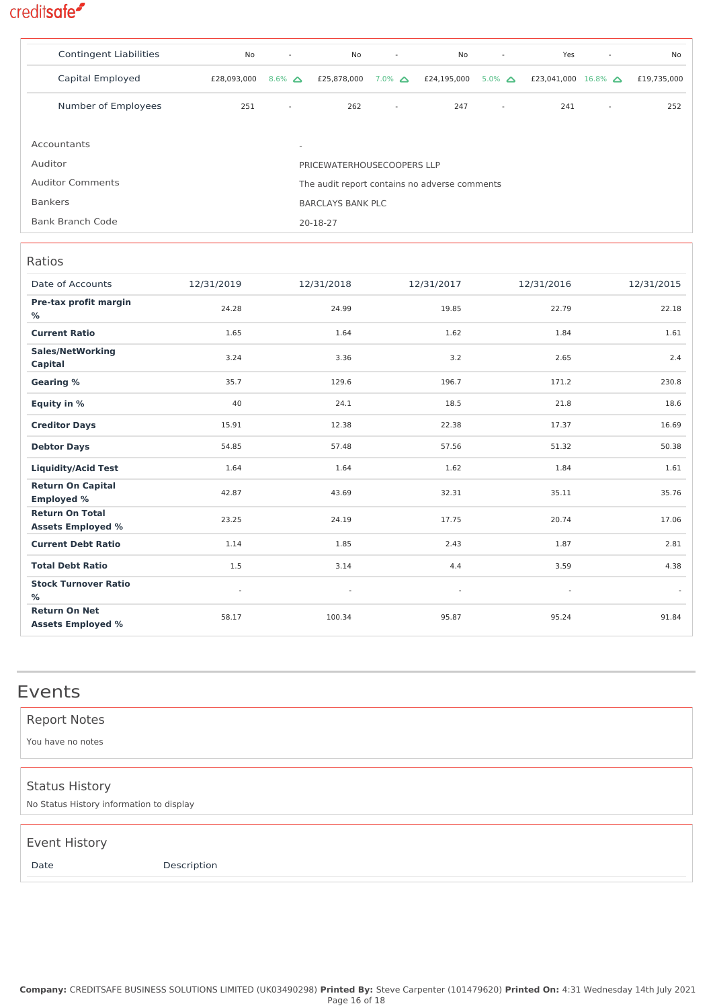| <b>Contingent Liabilities</b>                                            | No                         | $\overline{\phantom{a}}$ | No                       | $\sim$              | No          | $\overline{\phantom{a}}$ | Yes                           | $\overline{\phantom{a}}$ | No          |
|--------------------------------------------------------------------------|----------------------------|--------------------------|--------------------------|---------------------|-------------|--------------------------|-------------------------------|--------------------------|-------------|
| Capital Employed                                                         | £28,093,000                | $8.6\%$ $\triangle$      | £25,878,000              | $7.0\%$ $\triangle$ | £24,195,000 | $5.0\%$ $\triangle$      | £23,041,000 16.8% $\triangle$ |                          | £19,735,000 |
| Number of Employees                                                      | 251                        | $\sim$                   | 262                      | $\sim$              | 247         | $\sim$                   | 241                           | $\overline{\phantom{a}}$ | 252         |
|                                                                          |                            |                          |                          |                     |             |                          |                               |                          |             |
| Accountants                                                              |                            | $\overline{\phantom{a}}$ |                          |                     |             |                          |                               |                          |             |
| Auditor                                                                  | PRICEWATERHOUSECOOPERS LLP |                          |                          |                     |             |                          |                               |                          |             |
| <b>Auditor Comments</b><br>The audit report contains no adverse comments |                            |                          |                          |                     |             |                          |                               |                          |             |
| <b>Bankers</b>                                                           |                            |                          | <b>BARCLAYS BANK PLC</b> |                     |             |                          |                               |                          |             |
| <b>Bank Branch Code</b>                                                  | 20-18-27                   |                          |                          |                     |             |                          |                               |                          |             |

#### Ratios

| Date of Accounts                                   | 12/31/2019     |                |                          |                          |            |
|----------------------------------------------------|----------------|----------------|--------------------------|--------------------------|------------|
|                                                    |                | 12/31/2018     | 12/31/2017               | 12/31/2016               | 12/31/2015 |
| Pre-tax profit margin<br>%                         | 24.28          | 24.99          | 19.85                    | 22.79                    | 22.18      |
| <b>Current Ratio</b>                               | 1.65           | 1.64           | 1.62                     | 1.84                     | 1.61       |
| <b>Sales/NetWorking</b><br>Capital                 | 3.24           | 3.36           | 3.2                      | 2.65                     | 2.4        |
| <b>Gearing %</b>                                   | 35.7           | 129.6          | 196.7                    | 171.2                    | 230.8      |
| Equity in %                                        | 40             | 24.1           | 18.5                     | 21.8                     | 18.6       |
| <b>Creditor Days</b>                               | 15.91          | 12.38          | 22.38                    | 17.37                    | 16.69      |
| <b>Debtor Days</b>                                 | 54.85          | 57.48          | 57.56                    | 51.32                    | 50.38      |
| <b>Liquidity/Acid Test</b>                         | 1.64           | 1.64           | 1.62                     | 1.84                     | 1.61       |
| <b>Return On Capital</b><br><b>Employed %</b>      | 42.87          | 43.69          | 32.31                    | 35.11                    | 35.76      |
| <b>Return On Total</b><br><b>Assets Employed %</b> | 23.25          | 24.19          | 17.75                    | 20.74                    | 17.06      |
| <b>Current Debt Ratio</b>                          | 1.14           | 1.85           | 2.43                     | 1.87                     | 2.81       |
| <b>Total Debt Ratio</b>                            | 1.5            | 3.14           | 4.4                      | 3.59                     | 4.38       |
| <b>Stock Turnover Ratio</b><br>%                   | $\blacksquare$ | $\blacksquare$ | $\overline{\phantom{a}}$ | $\overline{\phantom{a}}$ | $\sim$     |
| <b>Return On Net</b><br><b>Assets Employed %</b>   | 58.17          | 100.34         | 95.87                    | 95.24                    | 91.84      |

## Events

| <b>Report Notes</b><br>You have no notes                          |             |
|-------------------------------------------------------------------|-------------|
| <b>Status History</b><br>No Status History information to display |             |
| <b>Event History</b><br>Date                                      | Description |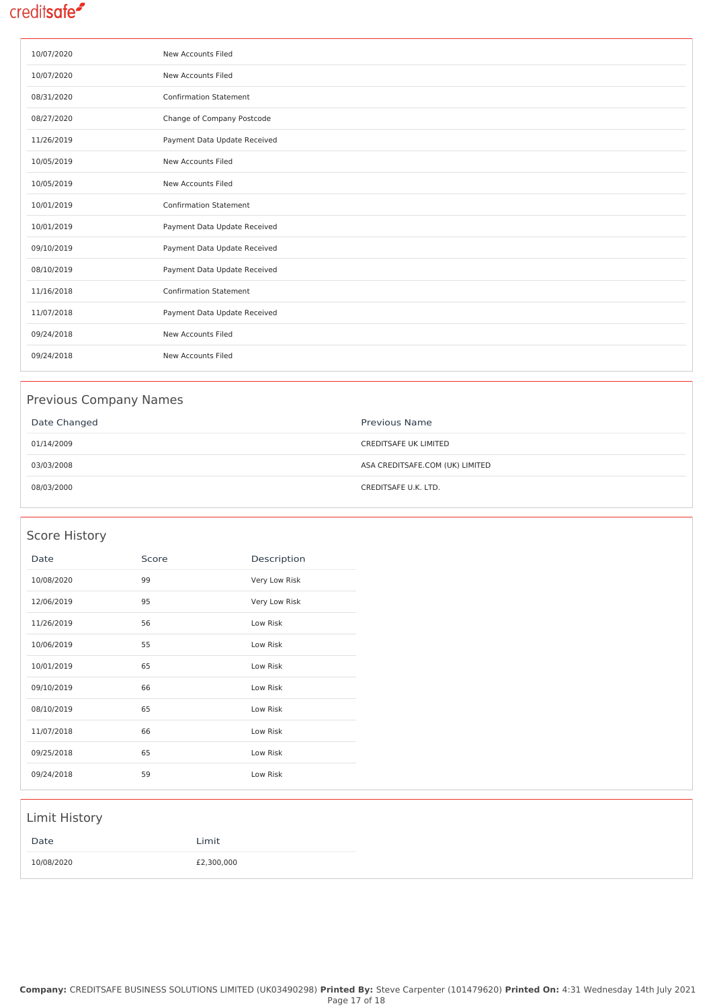| 10/07/2020 | New Accounts Filed            |
|------------|-------------------------------|
| 10/07/2020 | New Accounts Filed            |
| 08/31/2020 | <b>Confirmation Statement</b> |
| 08/27/2020 | Change of Company Postcode    |
| 11/26/2019 | Payment Data Update Received  |
| 10/05/2019 | New Accounts Filed            |
| 10/05/2019 | New Accounts Filed            |
| 10/01/2019 | <b>Confirmation Statement</b> |
| 10/01/2019 | Payment Data Update Received  |
| 09/10/2019 | Payment Data Update Received  |
| 08/10/2019 | Payment Data Update Received  |
| 11/16/2018 | <b>Confirmation Statement</b> |
| 11/07/2018 | Payment Data Update Received  |
| 09/24/2018 | New Accounts Filed            |
| 09/24/2018 | New Accounts Filed            |

#### Previous Company Names

| Date Changed | <b>Previous Name</b>            |
|--------------|---------------------------------|
| 01/14/2009   | <b>CREDITSAFE UK LIMITED</b>    |
| 03/03/2008   | ASA CREDITSAFE.COM (UK) LIMITED |
| 08/03/2000   | CREDITSAFE U.K. LTD.            |

#### Score History

| Date       | Score | Description   |
|------------|-------|---------------|
| 10/08/2020 | 99    | Very Low Risk |
| 12/06/2019 | 95    | Very Low Risk |
| 11/26/2019 | 56    | Low Risk      |
| 10/06/2019 | 55    | Low Risk      |
| 10/01/2019 | 65    | Low Risk      |
| 09/10/2019 | 66    | Low Risk      |
| 08/10/2019 | 65    | Low Risk      |
| 11/07/2018 | 66    | Low Risk      |
| 09/25/2018 | 65    | Low Risk      |
| 09/24/2018 | 59    | Low Risk      |

# Limit History Date Limit 10/08/2020 £2,300,000